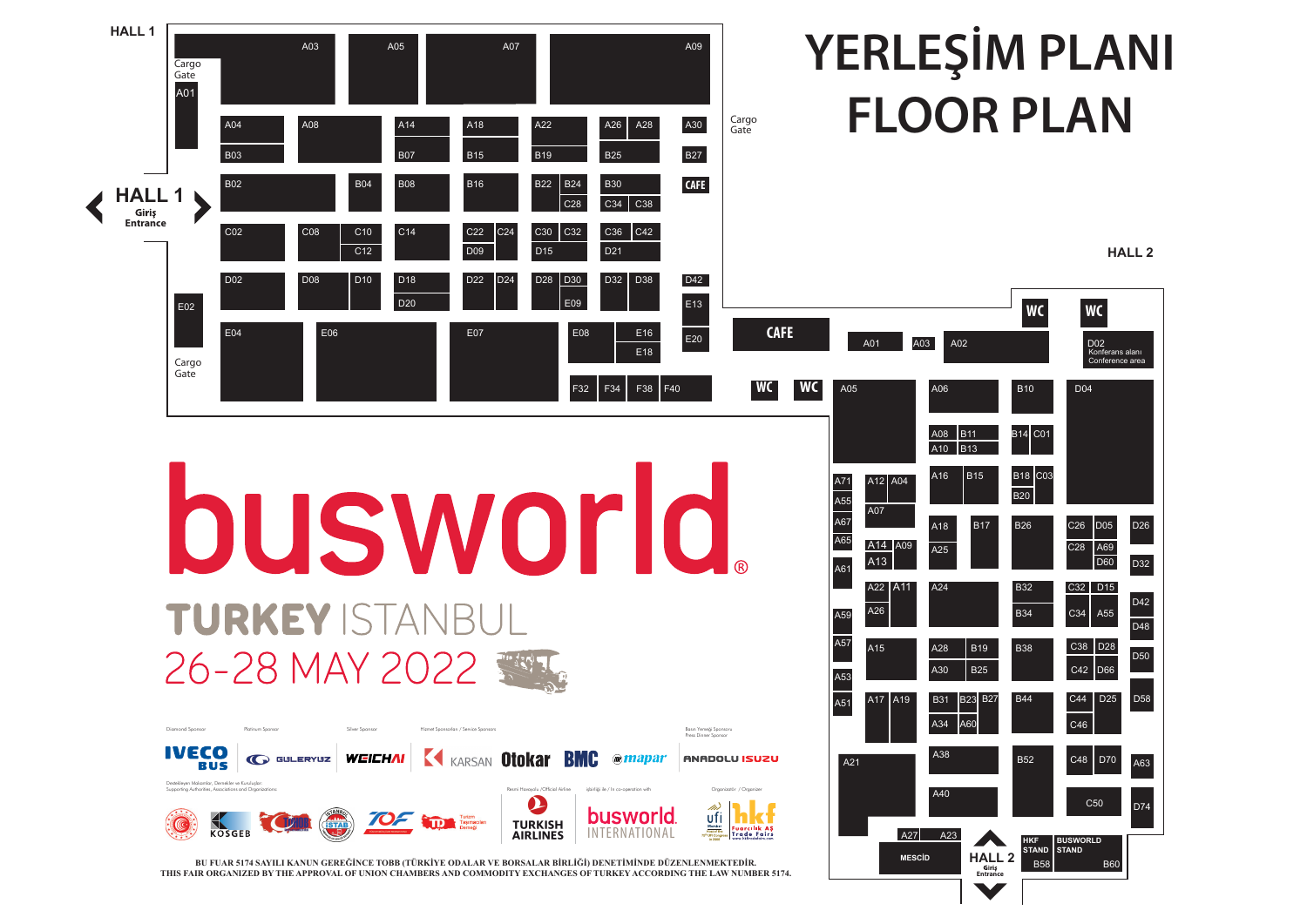| A06<br>D04<br><b>B10</b><br>CO <sub>1</sub><br>A08<br><b>B11</b><br><b>B14</b><br>A10<br><b>B13</b><br>CO <sub>3</sub><br><b>B18</b><br>A16<br><b>B15</b><br>$\overline{404}$<br><b>B20</b><br><b>B17</b><br><b>B26</b><br>C <sub>26</sub><br>D <sub>05</sub><br>D <sub>26</sub><br>$\overline{A18}$<br>C <sub>28</sub><br>A69<br>A25<br>D60<br>D32<br>$\overline{A24}$<br><b>B32</b><br>C32<br>D <sub>15</sub><br>D42<br><b>B34</b><br>C34<br>A55<br>D48<br>C38<br>D <sub>28</sub><br>A28<br><b>B19</b><br><b>B38</b><br>D <sub>50</sub><br>A30<br><b>B25</b><br>D66<br>C42<br><b>B44</b><br><b>B23</b><br><b>B27</b><br>C44<br>D <sub>25</sub><br>D <sub>58</sub><br><b>B31</b><br>A60<br>A34<br>C46<br>A38<br>C48<br><b>B52</b><br><b>D70</b><br>A63<br>A40<br>C <sub>50</sub><br>D74 | A03<br>A02 | WC<br><b>WC</b><br>D <sub>0</sub> 2<br>Konferans alanı<br>Conference area |  |  |  |  |
|------------------------------------------------------------------------------------------------------------------------------------------------------------------------------------------------------------------------------------------------------------------------------------------------------------------------------------------------------------------------------------------------------------------------------------------------------------------------------------------------------------------------------------------------------------------------------------------------------------------------------------------------------------------------------------------------------------------------------------------------------------------------------------------|------------|---------------------------------------------------------------------------|--|--|--|--|
| A09                                                                                                                                                                                                                                                                                                                                                                                                                                                                                                                                                                                                                                                                                                                                                                                      |            |                                                                           |  |  |  |  |
| A11<br>A19                                                                                                                                                                                                                                                                                                                                                                                                                                                                                                                                                                                                                                                                                                                                                                               |            |                                                                           |  |  |  |  |
|                                                                                                                                                                                                                                                                                                                                                                                                                                                                                                                                                                                                                                                                                                                                                                                          |            |                                                                           |  |  |  |  |
|                                                                                                                                                                                                                                                                                                                                                                                                                                                                                                                                                                                                                                                                                                                                                                                          |            |                                                                           |  |  |  |  |
| <b>HKF</b><br><b>BUSWORLD</b><br><b>STAND</b><br><b>STAND</b><br><b>MESCID</b><br>2                                                                                                                                                                                                                                                                                                                                                                                                                                                                                                                                                                                                                                                                                                      | A27<br>A23 |                                                                           |  |  |  |  |

**HALL 2**

## **YERLEŞİM PLANI FLOOR PLAN**



**THIS FAIR ORGANIZED BY THE APPROVAL OF UNION CHAMBERS AND COMMODITY EXCHANGES OF TURKEY ACCORDING THE LAW NUMBER 5174.**